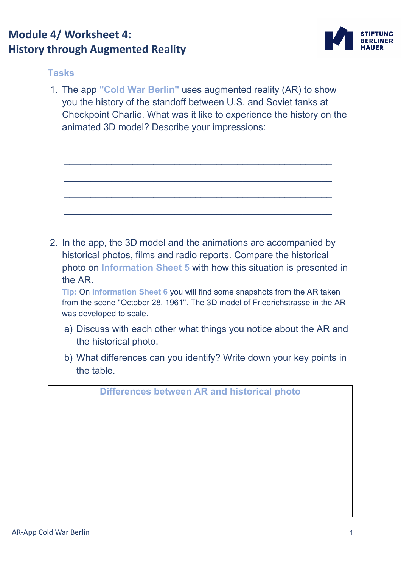## **Module 4/ Worksheet 4: History through Augmented Reality**



## **Tasks**

1. The app **"Cold War Berlin"** uses augmented reality (AR) to show you the history of the standoff between U.S. and Soviet tanks at Checkpoint Charlie. What was it like to experience the history on the animated 3D model? Describe your impressions:

\_\_\_\_\_\_\_\_\_\_\_\_\_\_\_\_\_\_\_\_\_\_\_\_\_\_\_\_\_\_\_\_\_\_\_\_\_\_\_\_\_\_\_\_\_\_\_\_\_\_\_

\_\_\_\_\_\_\_\_\_\_\_\_\_\_\_\_\_\_\_\_\_\_\_\_\_\_\_\_\_\_\_\_\_\_\_\_\_\_\_\_\_\_\_\_\_\_\_\_\_\_\_

 $\mathcal{L}_\text{max}$  , and the contribution of the contribution of  $\mathcal{L}_\text{max}$ 

\_\_\_\_\_\_\_\_\_\_\_\_\_\_\_\_\_\_\_\_\_\_\_\_\_\_\_\_\_\_\_\_\_\_\_\_\_\_\_\_\_\_\_\_\_\_\_\_\_\_\_

\_\_\_\_\_\_\_\_\_\_\_\_\_\_\_\_\_\_\_\_\_\_\_\_\_\_\_\_\_\_\_\_\_\_\_\_\_\_\_\_\_\_\_\_\_\_\_\_\_\_\_

2. In the app, the 3D model and the animations are accompanied by historical photos, films and radio reports. Compare the historical photo on **Information Sheet 5** with how this situation is presented in the AR.

**Tip:** On **Information Sheet 6** you will find some snapshots from the AR taken from the scene "October 28, 1961". The 3D model of Friedrichstrasse in the AR was developed to scale.

- a) Discuss with each other what things you notice about the AR and the historical photo.
- b) What differences can you identify? Write down your key points in the table.

**Differences between AR and historical photo**